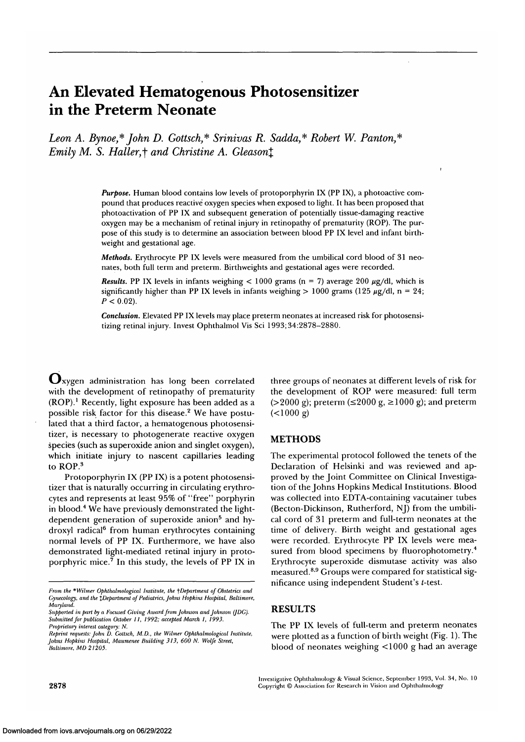# **An Elevated Hematogenous Photosensitizer in the Preterm Neonate**

Leon A. Bynoe,\* John D. Gottsch,\* Srinivas R. Sadda,\* Robert W. Panton,\* *Emily M. S. Haller, † and Christine A. Gleason*  $\uparrow$ 

> *Purpose.* Human blood contains low levels of protoporphyrin IX (PP IX), a photoactive compound that produces reactive oxygen species when exposed to light. It has been proposed that photoactivation of PP IX and subsequent generation of potentially tissue-damaging reactive oxygen may be a mechanism of retinal injury in retinopathy of prematurity (ROP). The purpose of this study is to determine an association between blood PP IX level and infant birthweight and gestational age.

> *Methods.* Erythrocyte PP IX levels were measured from the umbilical cord blood of 31 neonates, both full term and preterm. Birthweights and gestational ages were recorded.

> **Results.** PP IX levels in infants weighing  $< 1000$  grams (n = 7) average 200  $\mu$ g/dl, which is significantly higher than PP IX levels in infants weighing  $> 1000$  grams (125  $\mu$ g/dl, n = 24;  $P < 0.02$ ).

> *Conclusion.* Elevated PP IX levels may place preterm neonates at increased risk for photosensitizing retinal injury. Invest Ophthalmol Vis Sci 1993; 34:2878-2880.

**v-lxygen** administration has long been correlated with the development of retinopathy of prematurity (ROP).<sup>1</sup> Recently, light exposure has been added as a possible risk factor for this disease.<sup>2</sup> We have postulated that a third factor, a hematogenous photosensitizer, is necessary to photogenerate reactive oxygen species (such as superoxide anion and singlet oxygen), which initiate injury to nascent capillaries leading to ROP.<sup>3</sup>

Protoporphyrin IX (PP IX) is a potent photosensitizer that is naturally occurring in circulating erythrocytes and represents at least 95% of "free" porphyrin in blood.<sup>4</sup> We have previously demonstrated the lightdependent generation of superoxide anion<sup>5</sup> and hydroxyl radical<sup>6</sup> from human erythrocytes containing normal levels of PP IX. Furthermore, we have also demonstrated light-mediated retinal injury in protoporphyric mice.<sup>7</sup> In this study, the levels of PP IX in

three groups of neonates at different levels of risk for the development of ROP were measured: full term  $(>2000 \text{ g})$ ; preterm  $(\leq 2000 \text{ g}) \geq 1000 \text{ g}$ ); and preterm  $(<1000 g)$ 

#### **METHODS**

The experimental protocol followed the tenets of the Declaration of Helsinki and was reviewed and approved by the Joint Committee on Clinical Investigation of the Johns Hopkins Medical Institutions. Blood was collected into EDTA-containing vacutainer tubes (Becton-Dickinson, Rutherford, NJ) from the umbilical cord of 31 preterm and full-term neonates at the time of delivery. Birth weight and gestational ages were recorded. Erythrocyte PP IX levels were measured from blood specimens by fluorophotometry.<sup>4</sup> Erythrocyte superoxide dismutase activity was also measured.8 - 9 Groups were compared for statistical significance using independent Student's  $t$ -test.

## **RESULTS**

The PP IX levels of full-term and preterm neonates were plotted as a function of birth weight (Fig. 1). The blood of neonates weighing <1000 g had an average

Investigative Ophthalmology & Visual Science, September 1993, Vol. 34, No. 10 Copyright © Association for Research in Vision and Ophthalmology

*From the* \* *Wilmer Ophlhalmological Institute, the ^Department of Obstetrics and Gynecology, and the %Department of Pediatrics, Johns Hopkins Hospital, Baltimore, Maryland.*

*Supported in part by a Focused Giving Award from Johnson and Johnson (JDG). Submitted for publication October II, 1992; accepted March I, 1993. Proprietary interest category: N.*

*Reprint requests: John D. Gottsch, M.D., the Wilmer Ophthalmological Institute, Johns Hopkins Hospital, Maumenee Building 313, 600 N. Wolfe Street, Baltimore, MD 21205.*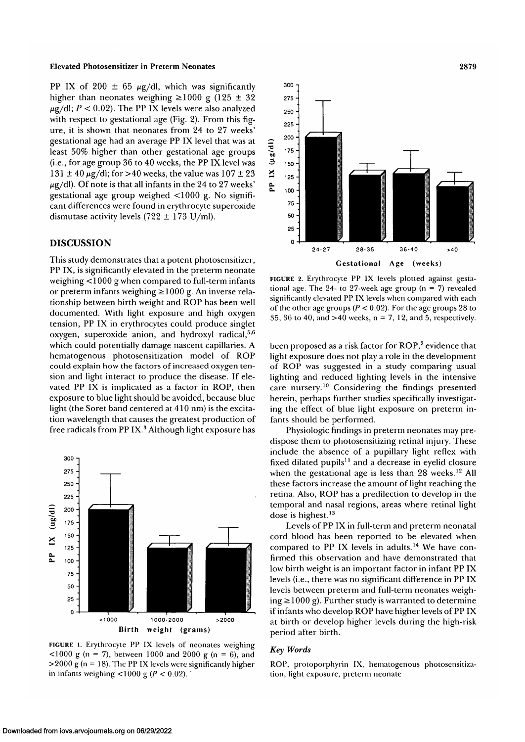#### **Elevated Photosensitizer in Preterm Neonates** 2879

PP IX of 200  $\pm$  65  $\mu$ g/dl, which was significantly higher than neonates weighing  $\geq 1000$  g (125  $\pm$  32)  $\mu$ g/dl;  $P < 0.02$ ). The PP IX levels were also analyzed with respect to gestational age (Fig. 2). From this figure, it is shown that neonates from 24 to 27 weeks' gestational age had an average PP IX level that was at least 50% higher than other gestational age groups (i.e., for age group 36 to 40 weeks, the PP IX level was  $131 \pm 40 \,\mu$ g/dl; for >40 weeks, the value was  $107 \pm 23$  $\mu$ g/dl). Of note is that all infants in the 24 to 27 weeks' gestational age group weighed <1000 g. No significant differences were found in erythrocyte superoxide dismutase activity levels (722  $\pm$  173 U/ml).

### **DISCUSSION**

This study demonstrates that a potent photosensitizer, PP IX, is significantly elevated in the preterm neonate weighing <1000 g when compared to full-term infants or preterm infants weighing  $\geq 1000$  g. An inverse relationship between birth weight and ROP has been well documented. With light exposure and high oxygen tension, PP IX in erythrocytes could produce singlet  $\alpha$ ygen, superoxide anion, and hydroxyl radical,<sup>5,6</sup> which could potentially damage nascent capillaries. A hematogenous photosensitization model of ROP could explain how the factors of increased oxygen tension and light interact to produce the disease. If elevated PP IX is implicated as a factor in ROP, then exposure to blue light should be avoided, because blue light (the Soret band centered at 410 nm) is the excitation wavelength that causes the greatest production of free radicals from PP IX.3 Although light exposure has



**FIGURE l.** Erythrocyte PP IX levels of neonates weighing  $1000 \text{ g}$  (n = 7), between 1000 and 2000 g (n = 6), and  $>$  2000 g (n = 18). The PP IX levels were significantly higher in infants weighing  $\langle 1000 \text{ g } (P \le 0.02) \rangle$ .



**FIGURE** 2. Erythrocyte PP IX levels plotted against gestational age. The 24- to 27-week age group ( $n = 7$ ) revealed significantly elevated PP IX levels when compared with each of the other age groups *(P <* 0.02). For the age groups 28 to 35, 36 to 40, and  $>40$  weeks,  $n = 7$ , 12, and 5, respectively.

been proposed as a risk factor for  $\mathsf{ROP}, ^\mathsf{2}$  evidence that light exposure does not play a role in the development of ROP was suggested in a study comparing usual lighting and reduced lighting levels in the intensive care nursery.<sup>10</sup> Considering the findings presented herein, perhaps further studies specifically investigating the effect of blue light exposure on preterm infants should be performed.

Physiologic findings in preterm neonates may predispose them to photosensitizing retinal injury. These include the absence of a pupillary light reflex with fixed dilated pupils<sup>11</sup> and a decrease in eyelid closure when the gestational age is less than  $28$  weeks.<sup>12</sup> All these factors increase the amount of light reaching the retina. Also, ROP has a predilection to develop in the temporal and nasal regions, areas where retinal light dose is highest.<sup>13</sup>

Levels of PP IX in full-term and preterm neonatal cord blood has been reported to be elevated when compared to PP IX levels in adults.<sup>14</sup> We have confirmed this observation and have demonstrated that low birth weight is an important factor in infant PP IX levels (i.e., there was no significant difference in PP IX levels between preterm and full-term neonates weighing  $\geq$  1000 g). Further study is warranted to determine if infants who develop ROP have higher levels of PP IX at birth or develop higher levels during the high-risk period after birth.

#### *Key Words*

ROP, protoporphyrin IX, hematogenous photosensitization, light exposure, preterm neonate